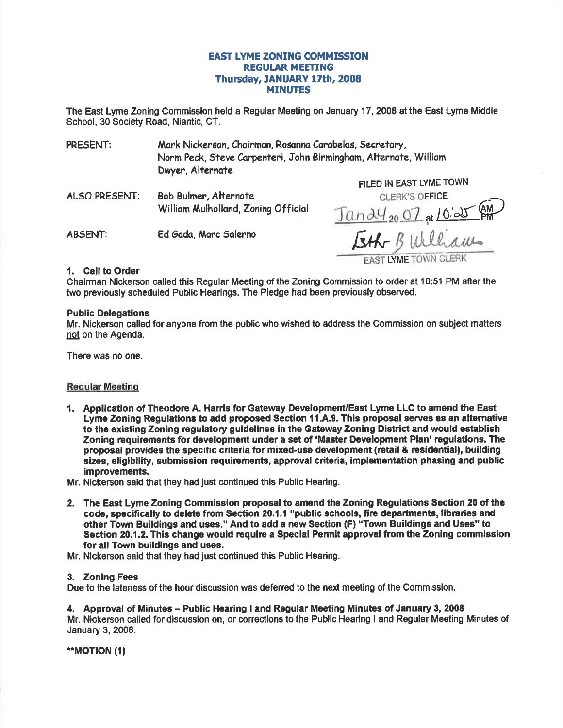# **EAST LYME ZONING COMMISSION REGULAR MEETING** Thursday, JANUARY 17th, 2008 **MINUTES**

The East Lyme Zoning Commission held a Regular Meeting on January 17, 2008 at the East Lyme Middle School, 30 Society Road, Niantic, CT.

Mark Nickerson, Chairman, Rosanna Carabelas, Secretary, PRESENT: Norm Peck, Steve Carpenteri, John Birmingham, Alternate, William Dwyer, Alternate

ALSO PRESENT: Bob Bulmer, Alternate William Mulholland, Zonina Official

**ABSENT:** Ed Gada, Marc Salerno

FILED IN EAST LYME TOWN **CLERK'S OFFICE** <u>Tandy<sub>20</sub> 07 at 10:25</u> Eth Bulliams

## 1. Call to Order

Chairman Nickerson called this Regular Meeting of the Zoning Commission to order at 10:51 PM after the two previously scheduled Public Hearings. The Pledge had been previously observed.

#### **Public Delegations**

Mr. Nickerson called for anyone from the public who wished to address the Commission on subject matters not on the Agenda.

There was no one.

## **Reqular Meeting**

- 1. Application of Theodore A. Harris for Gateway Development/East Lyme LLC to amend the East Lyme Zoning Regulations to add proposed Section 11.A.9. This proposal serves as an alternative to the existing Zoning regulatory guidelines in the Gateway Zoning District and would establish Zoning requirements for development under a set of 'Master Development Plan' regulations. The proposal provides the specific criteria for mixed-use development (retail & residential), building sizes, eligibility, submission requirements, approval criteria, implementation phasing and public improvements.
- Mr. Nickerson said that they had just continued this Public Hearing.
- 2. The East Lyme Zoning Commission proposal to amend the Zoning Regulations Section 20 of the code, specifically to delete from Section 20.1.1 "public schools, fire departments, libraries and other Town Buildings and uses." And to add a new Section (F) "Town Buildings and Uses" to Section 20.1.2. This change would require a Special Permit approval from the Zoning commission for all Town buildings and uses.
- Mr. Nickerson said that they had just continued this Public Hearing.

## 3. Zoning Fees

Due to the lateness of the hour discussion was deferred to the next meeting of the Commission.

## 4. Approval of Minutes – Public Hearing I and Regular Meeting Minutes of January 3, 2008

Mr. Nickerson called for discussion on, or corrections to the Public Hearing I and Regular Meeting Minutes of January 3, 2008.

\*\*MOTION (1)